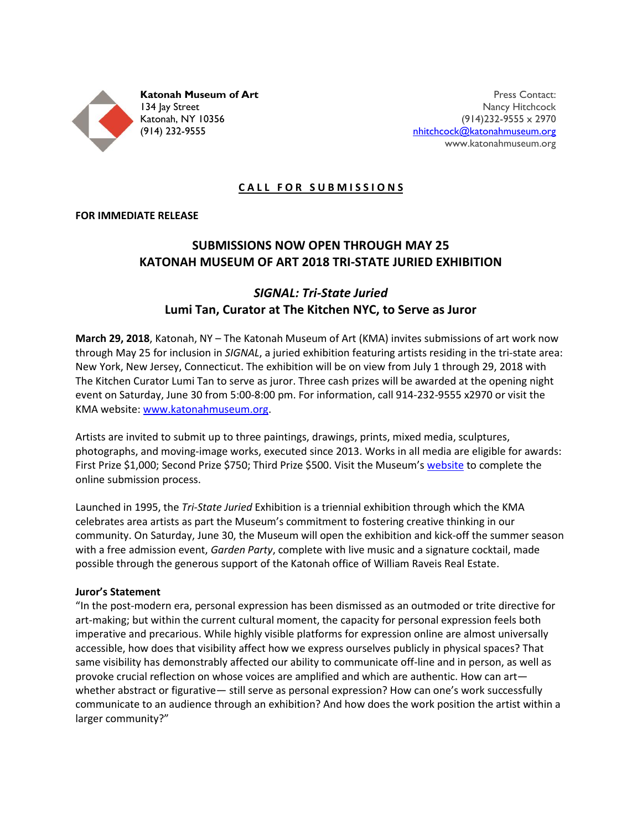

Press Contact: Nancy Hitchcock (914)232-9555 x 2970 [nhitchcock@katonahmuseum.org](mailto:nhitchcock@katonahmuseum.org) www.katonahmuseum.org

### **CALL FOR SUBMISSIONS**

#### **FOR IMMEDIATE RELEASE**

# **SUBMISSIONS NOW OPEN THROUGH MAY 25 KATONAH MUSEUM OF ART 2018 TRI-STATE JURIED EXHIBITION**

## *SIGNAL: Tri-State Juried* **Lumi Tan, Curator at The Kitchen NYC, to Serve as Juror**

**March 29, 2018**, Katonah, NY – The Katonah Museum of Art (KMA) invites submissions of art work now through May 25 for inclusion in *SIGNAL*, a juried exhibition featuring artists residing in the tri-state area: New York, New Jersey, Connecticut. The exhibition will be on view from July 1 through 29, 2018 with The Kitchen Curator Lumi Tan to serve as juror. Three cash prizes will be awarded at the opening night event on Saturday, June 30 from 5:00-8:00 pm. For information, call 914-232-9555 x2970 or visit the KMA website[: www.katonahmuseum.org.](http://www.katonahmuseum.org/)

Artists are invited to submit up to three paintings, drawings, prints, mixed media, sculptures, photographs, and moving-image works, executed since 2013. Works in all media are eligible for awards: First Prize \$1,000; Second Prize \$750; Third Prize \$500. Visit the Museum's [website](http://www.katonahmuseum.org/exhibitions/upcoming/) to complete the online submission process.

Launched in 1995, the *Tri-State Juried* Exhibition is a triennial exhibition through which the KMA celebrates area artists as part the Museum's commitment to fostering creative thinking in our community. On Saturday, June 30, the Museum will open the exhibition and kick-off the summer season with a free admission event, *Garden Party*, complete with live music and a signature cocktail, made possible through the generous support of the Katonah office of William Raveis Real Estate.

#### **Juror's Statement**

"In the post-modern era, personal expression has been dismissed as an outmoded or trite directive for art-making; but within the current cultural moment, the capacity for personal expression feels both imperative and precarious. While highly visible platforms for expression online are almost universally accessible, how does that visibility affect how we express ourselves publicly in physical spaces? That same visibility has demonstrably affected our ability to communicate off-line and in person, as well as provoke crucial reflection on whose voices are amplified and which are authentic. How can art whether abstract or figurative— still serve as personal expression? How can one's work successfully communicate to an audience through an exhibition? And how does the work position the artist within a larger community?"